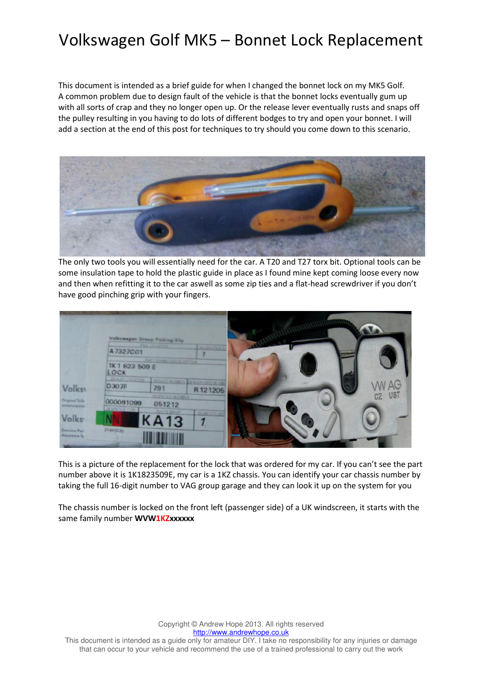This document is intended as a brief guide for when I changed the bonnet lock on my MK5 Golf. A common problem due to design fault of the vehicle is that the bonnet locks eventually gum up with all sorts of crap and they no longer open up. Or the release lever eventually rusts and snaps off the pulley resulting in you having to do lots of different bodges to try and open your bonnet. I will add a section at the end of this post for techniques to try should you come down to this scenario.



The only two tools you will essentially need for the car. A T20 and T27 torx bit. Optional tools can be some insulation tape to hold the plastic guide in place as I found mine kept coming loose every now and then when refitting it to the car aswell as some zip ties and a flat-head screwdriver if you don't have good pinching grip with your fingers.

|                                 | Volkswegen Group Picking Elip.<br><b>PICK LOCATION</b><br><b>KLLOCATED</b><br>A7327C01<br><b>PART APPROXIMATE DE ROP (NOR</b><br>1K 1 823 509 E<br>LOCK<br>DEALER LOCATION<br><b>DEALER NUMBER</b> |                                         |                               |  |                   |
|---------------------------------|----------------------------------------------------------------------------------------------------------------------------------------------------------------------------------------------------|-----------------------------------------|-------------------------------|--|-------------------|
| <b>Volks</b>                    | D307F                                                                                                                                                                                              | 791                                     | <b>LALEDED NUM</b><br>R121205 |  | <b>MAG</b><br>UST |
| Original Teile<br>sicharungssys | 000091099<br>DESPATER TYPE:                                                                                                                                                                        | <b>CESPATER NUMBER</b><br>051212        |                               |  | CZ                |
| <b>Volks</b>                    |                                                                                                                                                                                                    | <b><i>ROVTE CROP</i></b><br><b>KA13</b> | <b>QUANTITY SE</b>            |  |                   |
| Genuine Part<br>Assurance Sy    | 21441639                                                                                                                                                                                           |                                         |                               |  |                   |

This is a picture of the replacement for the lock that was ordered for my car. If you can't see the part number above it is 1K1823509E, my car is a 1KZ chassis. You can identify your car chassis number by taking the full 16-digit number to VAG group garage and they can look it up on the system for you

The chassis number is locked on the front left (passenger side) of a UK windscreen, it starts with the same family number WVW1KZxxxxxx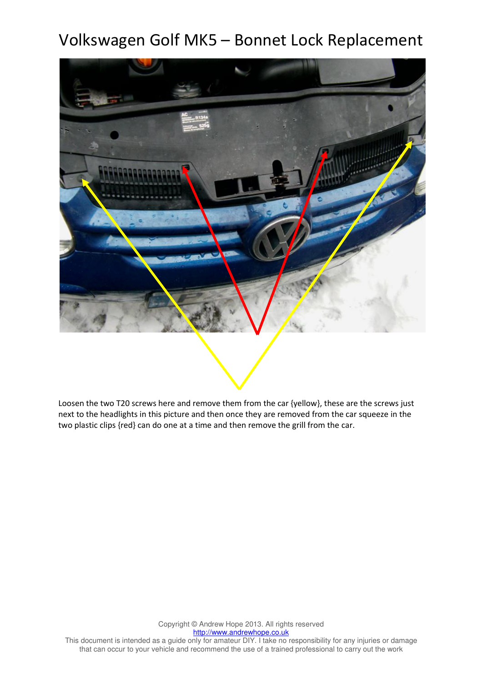

Loosen the two T20 screws here and remove them from the car {yellow}, these are the screws just next to the headlights in this picture and then once they are removed from the car squeeze in the two plastic clips {red} can do one at a time and then remove the grill from the car.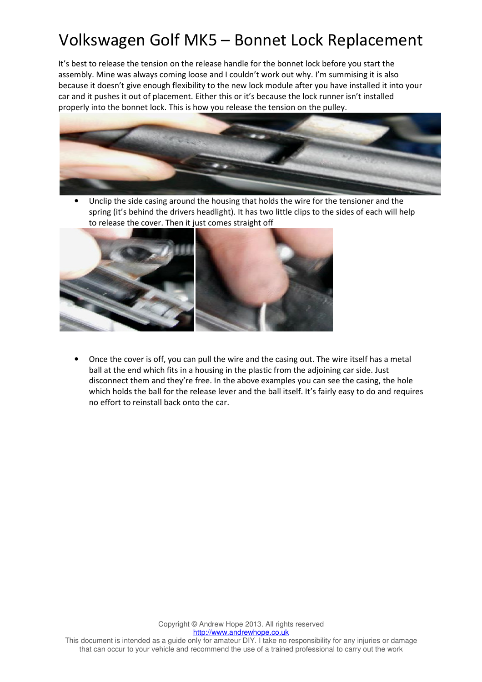It's best to release the tension on the release handle for the bonnet lock before you start the assembly. Mine was always coming loose and I couldn't work out why. I'm summising it is also because it doesn't give enough flexibility to the new lock module after you have installed it into your car and it pushes it out of placement. Either this or it's because the lock runner isn't installed properly into the bonnet lock. This is how you release the tension on the pulley.



Unclip the side casing around the housing that holds the wire for the tensioner and the spring (it's behind the drivers headlight). It has two little clips to the sides of each will help to release the cover. Then it just comes straight off



• Once the cover is off, you can pull the wire and the casing out. The wire itself has a metal ball at the end which fits in a housing in the plastic from the adjoining car side. Just disconnect them and they're free. In the above examples you can see the casing, the hole which holds the ball for the release lever and the ball itself. It's fairly easy to do and requires no effort to reinstall back onto the car.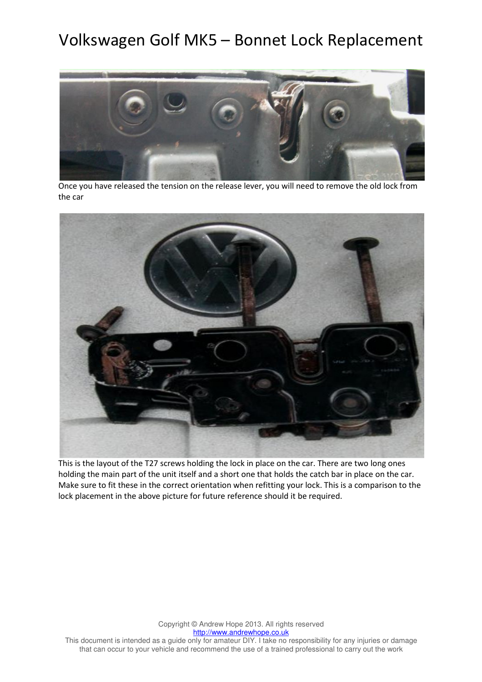

Once you have released the tension on the release lever, you will need to remove the old lock from the car



This is the layout of the T27 screws holding the lock in place on the car. There are two long ones holding the main part of the unit itself and a short one that holds the catch bar in place on the car. Make sure to fit these in the correct orientation when refitting your lock. This is a comparison to the lock placement in the above picture for future reference should it be required.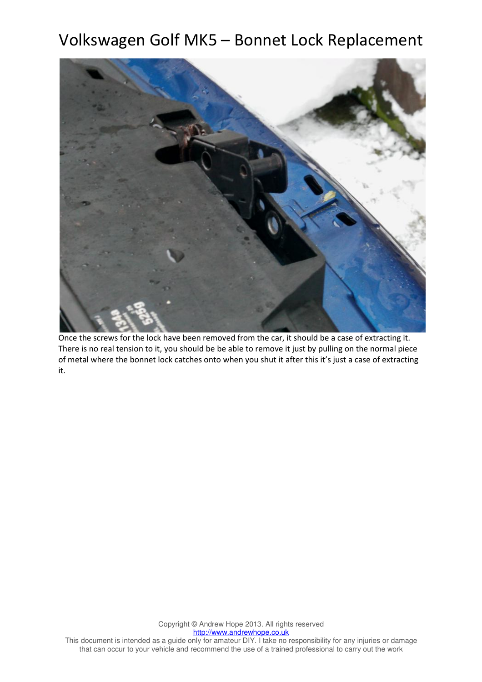

Once the screws for the lock have been removed from the car, it should be a case of extracting it. There is no real tension to it, you should be be able to remove it just by pulling on the normal piece of metal where the bonnet lock catches onto when you shut it after this it's just a case of extracting it.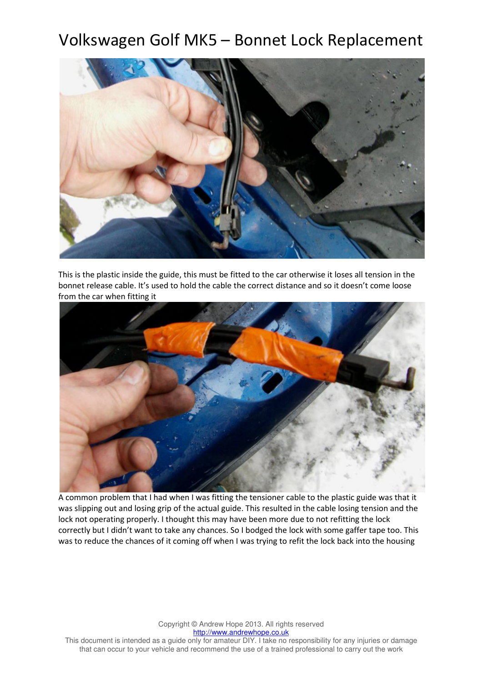

This is the plastic inside the guide, this must be fitted to the car otherwise it loses all tension in the bonnet release cable. It's used to hold the cable the correct distance and so it doesn't come loose from the car when fitting it



A common problem that I had when I was fitting the tensioner cable to the plastic guide was that it was slipping out and losing grip of the actual guide. This resulted in the cable losing tension and the lock not operating properly. I thought this may have been more due to not refitting the lock correctly but I didn't want to take any chances. So I bodged the lock with some gaffer tape too. This was to reduce the chances of it coming off when I was trying to refit the lock back into the housing

Copyright © Andrew Hope 2013. All rights reserved http://www.andrewhope.co.uk This document is intended as a guide only for amateur DIY. I take no responsibility for any injuries or damage that can occur to your vehicle and recommend the use of a trained professional to carry out the work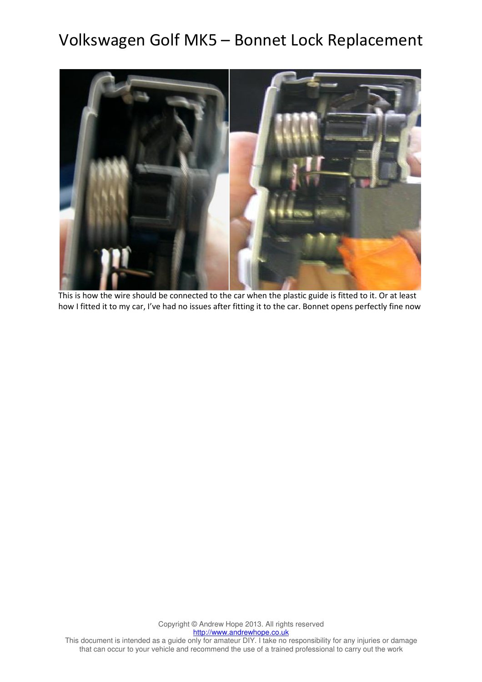

This is how the wire should be connected to the car when the plastic guide is fitted to it. Or at least how I fitted it to my car, I've had no issues after fitting it to the car. Bonnet opens perfectly fine now